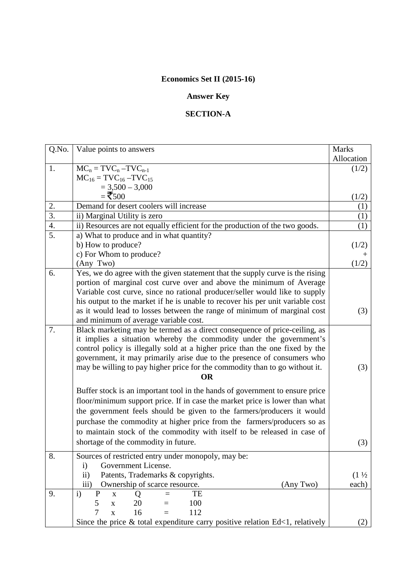## **Economics Set II (2015-16)**

## **Answer Key**

## **SECTION-A**

| Q.No.            | Value points to answers                                                         | <b>Marks</b>     |  |  |
|------------------|---------------------------------------------------------------------------------|------------------|--|--|
|                  |                                                                                 | Allocation       |  |  |
| 1.               | $MC_n = TVC_n - TVC_{n-1}$                                                      | (1/2)            |  |  |
|                  | $MC_{16} = TVC_{16} - TVC_{15}$                                                 |                  |  |  |
|                  | $= 3,500 - 3,000$                                                               |                  |  |  |
|                  | $=$ ₹500                                                                        | (1/2)            |  |  |
| 2.               | Demand for desert coolers will increase                                         | (1)              |  |  |
| $\overline{3}$ . | ii) Marginal Utility is zero                                                    | (1)              |  |  |
| 4.               | ii) Resources are not equally efficient for the production of the two goods.    | (1)              |  |  |
| 5.               | a) What to produce and in what quantity?                                        |                  |  |  |
|                  | b) How to produce?                                                              | (1/2)            |  |  |
|                  | c) For Whom to produce?                                                         |                  |  |  |
|                  | (Any Two)                                                                       | (1/2)            |  |  |
| 6.               | Yes, we do agree with the given statement that the supply curve is the rising   |                  |  |  |
|                  | portion of marginal cost curve over and above the minimum of Average            |                  |  |  |
|                  | Variable cost curve, since no rational producer/seller would like to supply     |                  |  |  |
|                  | his output to the market if he is unable to recover his per unit variable cost  |                  |  |  |
|                  | as it would lead to losses between the range of minimum of marginal cost        | (3)              |  |  |
|                  | and minimum of average variable cost.                                           |                  |  |  |
| 7.               | Black marketing may be termed as a direct consequence of price-ceiling, as      |                  |  |  |
|                  | it implies a situation whereby the commodity under the government's             |                  |  |  |
|                  | control policy is illegally sold at a higher price than the one fixed by the    |                  |  |  |
|                  | government, it may primarily arise due to the presence of consumers who         |                  |  |  |
|                  | may be willing to pay higher price for the commodity than to go without it.     |                  |  |  |
|                  | <b>OR</b>                                                                       |                  |  |  |
|                  |                                                                                 |                  |  |  |
|                  | Buffer stock is an important tool in the hands of government to ensure price    |                  |  |  |
|                  | floor/minimum support price. If in case the market price is lower than what     |                  |  |  |
|                  | the government feels should be given to the farmers/producers it would          |                  |  |  |
|                  | purchase the commodity at higher price from the farmers/producers so as         |                  |  |  |
|                  | to maintain stock of the commodity with itself to be released in case of        |                  |  |  |
|                  | shortage of the commodity in future.                                            | (3)              |  |  |
| 8.               | Sources of restricted entry under monopoly, may be:                             |                  |  |  |
|                  | Government License.<br>$\mathbf{i}$                                             |                  |  |  |
|                  | Patents, Trademarks & copyrights.<br>ii)                                        | $(1\frac{1}{2})$ |  |  |
|                  | Ownership of scarce resource.<br>(Any Two)<br>$\overline{iii}$                  | each)            |  |  |
| 9.               | $\mathbf{i}$<br>${\bf P}$<br>TE<br>$\bar{\mathbf{X}}$<br>$=$                    |                  |  |  |
|                  | Q<br>100<br>5<br>20                                                             |                  |  |  |
|                  | $\mathbf X$<br>7<br>16                                                          |                  |  |  |
|                  | 112<br>X<br>$=$                                                                 |                  |  |  |
|                  | Since the price $\&$ total expenditure carry positive relation Ed<1, relatively | (2)              |  |  |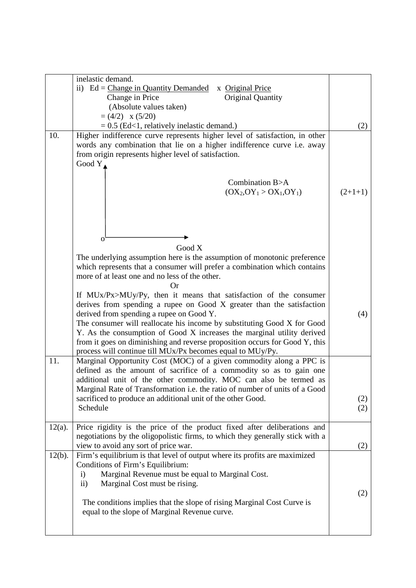|           | inelastic demand.                                                                                                                          |           |
|-----------|--------------------------------------------------------------------------------------------------------------------------------------------|-----------|
|           | ii) $Ed = Change$ in Quantity Demanded<br>x Original Price                                                                                 |           |
|           | Original Quantity<br>Change in Price                                                                                                       |           |
|           | (Absolute values taken)                                                                                                                    |           |
|           | $=(4/2) \times (5/20)$                                                                                                                     |           |
|           | $= 0.5$ (Ed<1, relatively inelastic demand.)                                                                                               | (2)       |
| 10.       | Higher indifference curve represents higher level of satisfaction, in other                                                                |           |
|           | words any combination that lie on a higher indifference curve i.e. away                                                                    |           |
|           | from origin represents higher level of satisfaction.                                                                                       |           |
|           | Good $Y$                                                                                                                                   |           |
|           |                                                                                                                                            |           |
|           | Combination B>A                                                                                                                            |           |
|           | $(OX_2, OY_1 > OX_1, OY_1)$                                                                                                                | $(2+1+1)$ |
|           |                                                                                                                                            |           |
|           |                                                                                                                                            |           |
|           |                                                                                                                                            |           |
|           |                                                                                                                                            |           |
|           | $\mathbf{O}$                                                                                                                               |           |
|           | Good X                                                                                                                                     |           |
|           | The underlying assumption here is the assumption of monotonic preference                                                                   |           |
|           | which represents that a consumer will prefer a combination which contains                                                                  |           |
|           | more of at least one and no less of the other.                                                                                             |           |
|           | Оr                                                                                                                                         |           |
|           | If MUx/Px>MUy/Py, then it means that satisfaction of the consumer<br>derives from spending a rupee on Good X greater than the satisfaction |           |
|           | derived from spending a rupee on Good Y.                                                                                                   |           |
|           | The consumer will reallocate his income by substituting Good X for Good                                                                    | (4)       |
|           | Y. As the consumption of Good X increases the marginal utility derived                                                                     |           |
|           | from it goes on diminishing and reverse proposition occurs for Good Y, this                                                                |           |
|           | process will continue till MUx/Px becomes equal to MUy/Py.                                                                                 |           |
| 11.       | Marginal Opportunity Cost (MOC) of a given commodity along a PPC is                                                                        |           |
|           | defined as the amount of sacrifice of a commodity so as to gain one                                                                        |           |
|           | additional unit of the other commodity. MOC can also be termed as                                                                          |           |
|           | Marginal Rate of Transformation i.e. the ratio of number of units of a Good                                                                |           |
|           | sacrificed to produce an additional unit of the other Good.                                                                                | (2)       |
|           | Schedule                                                                                                                                   | (2)       |
|           |                                                                                                                                            |           |
| $12(a)$ . | Price rigidity is the price of the product fixed after deliberations and                                                                   |           |
|           | negotiations by the oligopolistic firms, to which they generally stick with a                                                              |           |
|           | view to avoid any sort of price war.                                                                                                       | (2)       |
| $12(b)$ . | Firm's equilibrium is that level of output where its profits are maximized                                                                 |           |
|           | Conditions of Firm's Equilibrium:                                                                                                          |           |
|           | Marginal Revenue must be equal to Marginal Cost.<br>$\mathbf{i}$                                                                           |           |
|           | Marginal Cost must be rising.<br>$\overline{ii}$ )                                                                                         |           |
|           |                                                                                                                                            | (2)       |
|           | The conditions implies that the slope of rising Marginal Cost Curve is                                                                     |           |
|           | equal to the slope of Marginal Revenue curve.                                                                                              |           |
|           |                                                                                                                                            |           |
|           |                                                                                                                                            |           |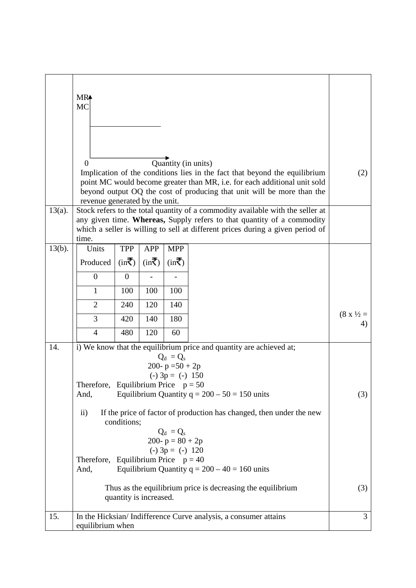|           | MR <sup>4</sup><br><b>MC</b>                                                                                                                                                                                                                                                          |                                                                                          |                    |                                                           |                                                                                                                                                                                |                          |
|-----------|---------------------------------------------------------------------------------------------------------------------------------------------------------------------------------------------------------------------------------------------------------------------------------------|------------------------------------------------------------------------------------------|--------------------|-----------------------------------------------------------|--------------------------------------------------------------------------------------------------------------------------------------------------------------------------------|--------------------------|
|           |                                                                                                                                                                                                                                                                                       |                                                                                          |                    |                                                           |                                                                                                                                                                                |                          |
|           | $\Omega$                                                                                                                                                                                                                                                                              |                                                                                          |                    |                                                           | Quantity (in units)<br>Implication of the conditions lies in the fact that beyond the equilibrium<br>point MC would become greater than MR, i.e. for each additional unit sold |                          |
|           |                                                                                                                                                                                                                                                                                       |                                                                                          |                    |                                                           | beyond output OQ the cost of producing that unit will be more than the                                                                                                         |                          |
| $13(a)$ . | revenue generated by the unit.<br>Stock refers to the total quantity of a commodity available with the seller at<br>any given time. Whereas, Supply refers to that quantity of a commodity<br>which a seller is willing to sell at different prices during a given period of<br>time. |                                                                                          |                    |                                                           |                                                                                                                                                                                |                          |
| $13(b)$ . | Units                                                                                                                                                                                                                                                                                 | <b>TPP</b>                                                                               | <b>APP</b>         | <b>MPP</b>                                                |                                                                                                                                                                                |                          |
|           | Produced                                                                                                                                                                                                                                                                              | $(in\bar{\bar{}})$                                                                       | $(in\bar{\bar{}})$ | $(in\bar{\bar{\mathbf{\zeta}}})$                          |                                                                                                                                                                                |                          |
|           | $\overline{0}$                                                                                                                                                                                                                                                                        | $\mathbf{0}$                                                                             |                    |                                                           |                                                                                                                                                                                |                          |
|           | $\mathbf{1}$                                                                                                                                                                                                                                                                          | 100                                                                                      | 100                | 100                                                       |                                                                                                                                                                                |                          |
|           | $\overline{2}$                                                                                                                                                                                                                                                                        | 240                                                                                      | 120                | 140                                                       |                                                                                                                                                                                |                          |
|           | 3                                                                                                                                                                                                                                                                                     | 420                                                                                      | 140                | 180                                                       |                                                                                                                                                                                | $(8 \times \frac{1}{2})$ |
|           | $\overline{4}$                                                                                                                                                                                                                                                                        | 480                                                                                      | 120                | 60                                                        |                                                                                                                                                                                |                          |
| 14.       |                                                                                                                                                                                                                                                                                       |                                                                                          |                    | $Q_d = Q_s$<br>200- $p = 50 + 2p$<br>$(-)$ 3p = $(-)$ 150 | i) We know that the equilibrium price and quantity are achieved at;                                                                                                            |                          |
|           | And,                                                                                                                                                                                                                                                                                  | Therefore, Equilibrium Price $p = 50$<br>Equilibrium Quantity $q = 200 - 50 = 150$ units |                    |                                                           |                                                                                                                                                                                |                          |
|           | $\rm ii)$<br>If the price of factor of production has changed, then under the new<br>conditions;                                                                                                                                                                                      |                                                                                          |                    |                                                           |                                                                                                                                                                                |                          |
|           | $Q_d = Q_s$<br>200- $p = 80 + 2p$<br>$(-)$ 3p = $(-)$ 120                                                                                                                                                                                                                             |                                                                                          |                    |                                                           |                                                                                                                                                                                |                          |
|           | Therefore, Equilibrium Price $p = 40$<br>And,                                                                                                                                                                                                                                         |                                                                                          |                    |                                                           | Equilibrium Quantity $q = 200 - 40 = 160$ units                                                                                                                                |                          |
|           |                                                                                                                                                                                                                                                                                       | quantity is increased.                                                                   |                    |                                                           | Thus as the equilibrium price is decreasing the equilibrium                                                                                                                    |                          |
| 15.       | In the Hicksian/Indifference Curve analysis, a consumer attains<br>equilibrium when                                                                                                                                                                                                   |                                                                                          |                    |                                                           |                                                                                                                                                                                |                          |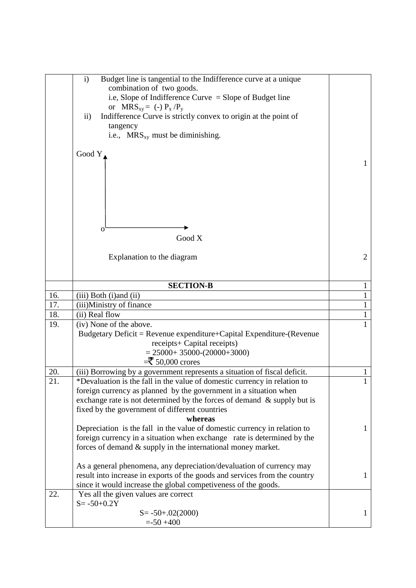|     | i)<br>Budget line is tangential to the Indifference curve at a unique            |              |
|-----|----------------------------------------------------------------------------------|--------------|
|     | combination of two goods.                                                        |              |
|     | i.e, Slope of Indifference Curve $=$ Slope of Budget line                        |              |
|     | or $MRS_{xy} = (-) P_x / P_y$                                                    |              |
|     | $\mathbf{ii}$<br>Indifference Curve is strictly convex to origin at the point of |              |
|     | tangency                                                                         |              |
|     | i.e., $MRS_{xy}$ must be diminishing.                                            |              |
|     |                                                                                  |              |
|     | Good Y                                                                           |              |
|     |                                                                                  | $\mathbf{1}$ |
|     |                                                                                  |              |
|     |                                                                                  |              |
|     |                                                                                  |              |
|     |                                                                                  |              |
|     |                                                                                  |              |
|     |                                                                                  |              |
|     | O,<br>Good X                                                                     |              |
|     |                                                                                  |              |
|     | Explanation to the diagram                                                       | 2            |
|     |                                                                                  |              |
|     |                                                                                  |              |
|     | <b>SECTION-B</b>                                                                 | $\mathbf{1}$ |
| 16. | (iii) Both (i) and (ii)                                                          | $\mathbf{1}$ |
| 17. | (iii)Ministry of finance                                                         | 1            |
| 18. | (ii) Real flow                                                                   | $\mathbf{1}$ |
| 19. | (iv) None of the above.                                                          | $\mathbf{1}$ |
|     | Budgetary Deficit = Revenue expenditure+Capital Expenditure-(Revenue             |              |
|     | receipts+ Capital receipts)                                                      |              |
|     | $= 25000 + 35000 - (20000 + 3000)$                                               |              |
|     | $=\t50,000$ crores                                                               |              |
| 20. | (iii) Borrowing by a government represents a situation of fiscal deficit.        | $\mathbf{1}$ |
| 21. | *Devaluation is the fall in the value of domestic currency in relation to        | 1            |
|     | foreign currency as planned by the government in a situation when                |              |
|     | exchange rate is not determined by the forces of demand $\&$ supply but is       |              |
|     | fixed by the government of different countries                                   |              |
|     | whereas                                                                          |              |
|     | Depreciation is the fall in the value of domestic currency in relation to        | $\mathbf{1}$ |
|     | foreign currency in a situation when exchange rate is determined by the          |              |
|     | forces of demand & supply in the international money market.                     |              |
|     |                                                                                  |              |
|     | As a general phenomena, any depreciation/devaluation of currency may             |              |
|     | result into increase in exports of the goods and services from the country       | $\mathbf{1}$ |
|     | since it would increase the global competiveness of the goods.                   |              |
| 22. | Yes all the given values are correct                                             |              |
|     | $S = -50 + 0.2Y$                                                                 |              |
|     | $S = -50 + .02(2000)$                                                            | $\mathbf{1}$ |
|     | $= -50 + 400$                                                                    |              |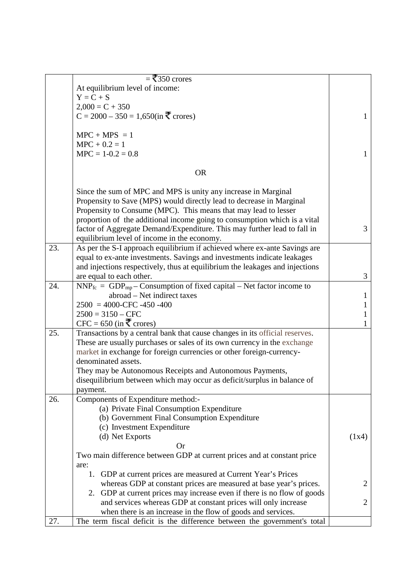|     | $=$ ₹350 crores                                                              |                |
|-----|------------------------------------------------------------------------------|----------------|
|     | At equilibrium level of income:                                              |                |
|     | $Y = C + S$                                                                  |                |
|     |                                                                              |                |
|     | $2,000 = C + 350$                                                            |                |
|     | $C = 2000 - 350 = 1,650$ (in ₹ crores)                                       | $\mathbf{1}$   |
|     | $MPC + MPS = 1$                                                              |                |
|     | $MPC + 0.2 = 1$                                                              |                |
|     | $MPC = 1-0.2 = 0.8$                                                          | 1              |
|     | <b>OR</b>                                                                    |                |
|     |                                                                              |                |
|     | Since the sum of MPC and MPS is unity any increase in Marginal               |                |
|     | Propensity to Save (MPS) would directly lead to decrease in Marginal         |                |
|     | Propensity to Consume (MPC). This means that may lead to lesser              |                |
|     | proportion of the additional income going to consumption which is a vital    |                |
|     | factor of Aggregate Demand/Expenditure. This may further lead to fall in     | 3              |
|     | equilibrium level of income in the economy.                                  |                |
| 23. | As per the S-I approach equilibrium if achieved where ex-ante Savings are    |                |
|     | equal to ex-ante investments. Savings and investments indicate leakages      |                |
|     | and injections respectively, thus at equilibrium the leakages and injections |                |
|     | are equal to each other.                                                     | 3              |
| 24. | $NNP_{fc} = GDP_{mp} - Consumption$ of fixed capital – Net factor income to  |                |
|     | abroad – Net indirect taxes                                                  | T              |
|     | $2500 = 4000$ -CFC -450 -400                                                 | 1              |
|     | $2500 = 3150 - CFC$                                                          | 1              |
|     | CFC = 650 (in ₹ crores)                                                      | 1              |
| 25. | Transactions by a central bank that cause changes in its official reserves.  |                |
|     | These are usually purchases or sales of its own currency in the exchange     |                |
|     | market in exchange for foreign currencies or other foreign-currency-         |                |
|     | denominated assets.                                                          |                |
|     | They may be Autonomous Receipts and Autonomous Payments,                     |                |
|     | disequilibrium between which may occur as deficit/surplus in balance of      |                |
|     | payment.                                                                     |                |
| 26. | Components of Expenditure method:-                                           |                |
|     | (a) Private Final Consumption Expenditure                                    |                |
|     | (b) Government Final Consumption Expenditure                                 |                |
|     | (c) Investment Expenditure                                                   |                |
|     | (d) Net Exports                                                              | (1x4)          |
|     | <b>Or</b>                                                                    |                |
|     | Two main difference between GDP at current prices and at constant price      |                |
|     | are:                                                                         |                |
|     | 1. GDP at current prices are measured at Current Year's Prices               |                |
|     | whereas GDP at constant prices are measured at base year's prices.           | $\overline{2}$ |
|     | 2. GDP at current prices may increase even if there is no flow of goods      |                |
|     | and services whereas GDP at constant prices will only increase               | $\overline{2}$ |
|     | when there is an increase in the flow of goods and services.                 |                |
| 27. | The term fiscal deficit is the difference between the government's total     |                |